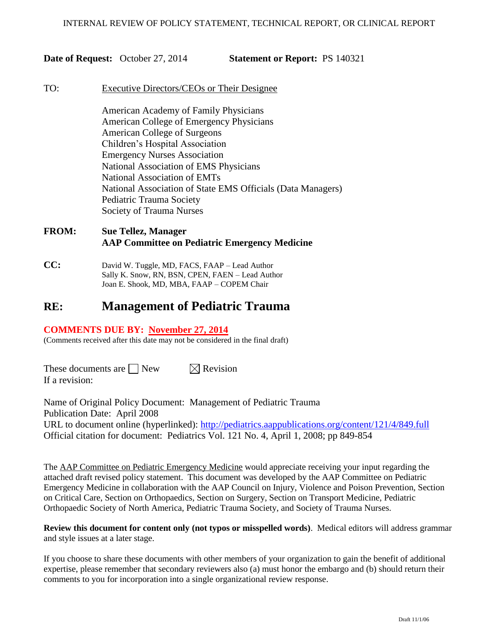**Date of Request:** October 27, 2014 **Statement or Report:** PS 140321

#### TO: Executive Directors/CEOs or Their Designee

American Academy of Family Physicians American College of Emergency Physicians American College of Surgeons Children's Hospital Association Emergency Nurses Association National Association of EMS Physicians National Association of EMTs National Association of State EMS Officials (Data Managers) Pediatric Trauma Society Society of Trauma Nurses

# **FROM: Sue Tellez, Manager AAP Committee on Pediatric Emergency Medicine**

**CC:** David W. Tuggle, MD, FACS, FAAP – Lead Author Sally K. Snow, RN, BSN, CPEN, FAEN – Lead Author Joan E. Shook, MD, MBA, FAAP – COPEM Chair

# **RE: Management of Pediatric Trauma**

## **COMMENTS DUE BY: November 27, 2014**

(Comments received after this date may not be considered in the final draft)

These documents are  $\Box$  New  $\Box$  Revision If a revision:

Name of Original Policy Document: Management of Pediatric Trauma Publication Date: April 2008 URL to document online (hyperlinked): <http://pediatrics.aappublications.org/content/121/4/849.full> Official citation for document: Pediatrics Vol. 121 No. 4, April 1, 2008; pp 849-854

The AAP Committee on Pediatric Emergency Medicine would appreciate receiving your input regarding the attached draft revised policy statement. This document was developed by the AAP Committee on Pediatric Emergency Medicine in collaboration with the AAP Council on Injury, Violence and Poison Prevention, Section on Critical Care, Section on Orthopaedics, Section on Surgery, Section on Transport Medicine, Pediatric Orthopaedic Society of North America, Pediatric Trauma Society, and Society of Trauma Nurses.

**Review this document for content only (not typos or misspelled words)**. Medical editors will address grammar and style issues at a later stage.

If you choose to share these documents with other members of your organization to gain the benefit of additional expertise, please remember that secondary reviewers also (a) must honor the embargo and (b) should return their comments to you for incorporation into a single organizational review response.